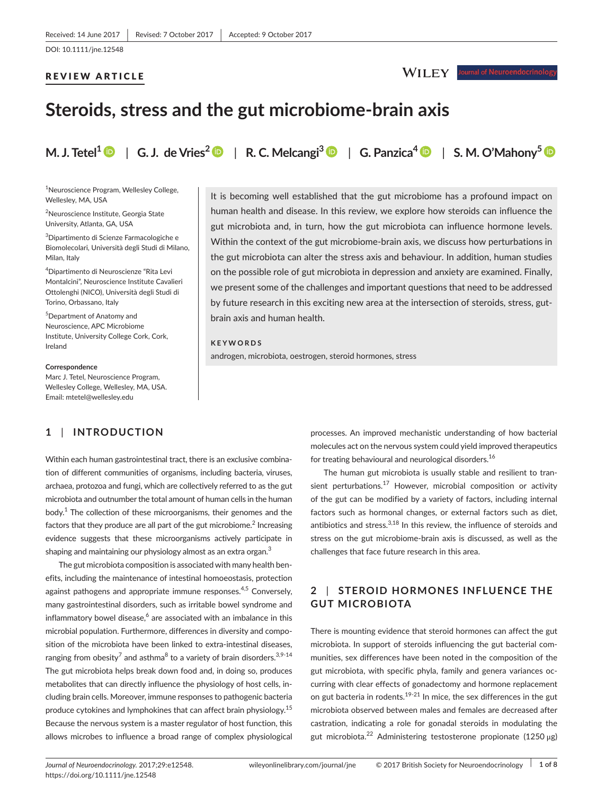#### REVIEW ARTICLE

# WILEY Journal of Neuroendocrinolog

# **Steroids, stress and the gut microbiome-brain axis**

**M. J. Tetel<sup>[1](http://orcid.org/0000-0002-9843-4071)</sup>**  $\bullet$  **| G. J. de Vries<sup>2</sup>**  $\bullet$  **| R. C. Melcangi<sup>3</sup>**  $\bullet$  **| G. Panzica<sup>[4](http://orcid.org/0000-0002-9302-4647)</sup>**  $\bullet$  **| S. M. O'Mahony<sup>[5](http://orcid.org/0000-0002-9597-9391)</sup>**  $\bullet$ 

<sup>1</sup>Neuroscience Program, Wellesley College, Wellesley, MA, USA

2 Neuroscience Institute, Georgia State University, Atlanta, GA, USA

3 Dipartimento di Scienze Farmacologiche e Biomolecolari, Università degli Studi di Milano, Milan, Italy

4 Dipartimento di Neuroscienze "Rita Levi Montalcini", Neuroscience Institute Cavalieri Ottolenghi (NICO), Università degli Studi di Torino, Orbassano, Italy

5 Department of Anatomy and Neuroscience, APC Microbiome Institute, University College Cork, Cork, Ireland

**Correspondence** Marc J. Tetel, Neuroscience Program, Wellesley College, Wellesley, MA, USA. Email: [mtetel@wellesley.edu](mailto:mtetel@wellesley.edu)

## **1** | **INTRODUCTION**

Within each human gastrointestinal tract, there is an exclusive combination of different communities of organisms, including bacteria, viruses, archaea, protozoa and fungi, which are collectively referred to as the gut microbiota and outnumber the total amount of human cells in the human body.<sup>1</sup> The collection of these microorganisms, their genomes and the factors that they produce are all part of the gut microbiome.<sup>2</sup> Increasing evidence suggests that these microorganisms actively participate in shaping and maintaining our physiology almost as an extra organ.<sup>3</sup>

The gut microbiota composition is associated with many health benefits, including the maintenance of intestinal homoeostasis, protection against pathogens and appropriate immune responses.<sup>4,5</sup> Conversely, many gastrointestinal disorders, such as irritable bowel syndrome and inflammatory bowel disease, $^6$  are associated with an imbalance in this microbial population. Furthermore, differences in diversity and composition of the microbiota have been linked to extra-intestinal diseases, ranging from obesity $^7$  and asthma $^8$  to a variety of brain disorders. $^{\rm 3,9\text{-}14}$ The gut microbiota helps break down food and, in doing so, produces metabolites that can directly influence the physiology of host cells, including brain cells. Moreover, immune responses to pathogenic bacteria produce cytokines and lymphokines that can affect brain physiology.<sup>15</sup> Because the nervous system is a master regulator of host function, this allows microbes to influence a broad range of complex physiological

It is becoming well established that the gut microbiome has a profound impact on human health and disease. In this review, we explore how steroids can influence the gut microbiota and, in turn, how the gut microbiota can influence hormone levels. Within the context of the gut microbiome-brain axis, we discuss how perturbations in the gut microbiota can alter the stress axis and behaviour. In addition, human studies on the possible role of gut microbiota in depression and anxiety are examined. Finally, we present some of the challenges and important questions that need to be addressed by future research in this exciting new area at the intersection of steroids, stress, gutbrain axis and human health.

## **KEYWORDS**

androgen, microbiota, oestrogen, steroid hormones, stress

processes. An improved mechanistic understanding of how bacterial molecules act on the nervous system could yield improved therapeutics for treating behavioural and neurological disorders.<sup>16</sup>

The human gut microbiota is usually stable and resilient to transient perturbations.<sup>17</sup> However, microbial composition or activity of the gut can be modified by a variety of factors, including internal factors such as hormonal changes, or external factors such as diet, antibiotics and stress. $3,18$  In this review, the influence of steroids and stress on the gut microbiome-brain axis is discussed, as well as the challenges that face future research in this area.

# **2** | **STEROID HORMONES INFLUENCE THE GUT MICROBIOTA**

There is mounting evidence that steroid hormones can affect the gut microbiota. In support of steroids influencing the gut bacterial communities, sex differences have been noted in the composition of the gut microbiota, with specific phyla, family and genera variances occurring with clear effects of gonadectomy and hormone replacement on gut bacteria in rodents.<sup>19-21</sup> In mice, the sex differences in the gut microbiota observed between males and females are decreased after castration, indicating a role for gonadal steroids in modulating the gut microbiota.<sup>22</sup> Administering testosterone propionate (1250 μg)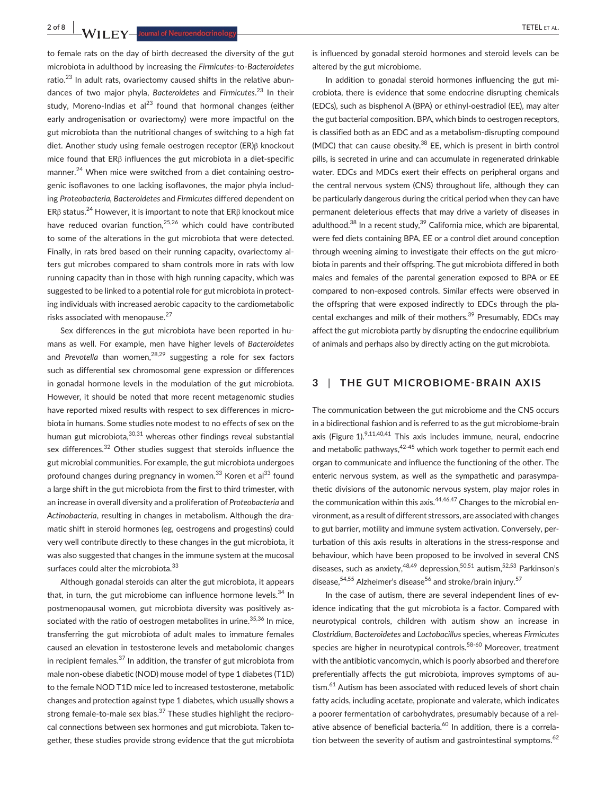2 of 8 **1 A/II FY** lournal of Neuroandocripalarm

to female rats on the day of birth decreased the diversity of the gut microbiota in adulthood by increasing the *Firmicutes*-to-*Bacteroidetes* ratio. $23$  In adult rats, ovariectomy caused shifts in the relative abundances of two major phyla, *Bacteroidetes* and *Firmicutes*. <sup>23</sup> In their study, Moreno-Indias et al<sup>23</sup> found that hormonal changes (either early androgenisation or ovariectomy) were more impactful on the gut microbiota than the nutritional changes of switching to a high fat diet. Another study using female oestrogen receptor (ER)β knockout mice found that ERβ influences the gut microbiota in a diet-specific manner.<sup>24</sup> When mice were switched from a diet containing oestrogenic isoflavones to one lacking isoflavones, the major phyla including *Proteobacteria, Bacteroidetes* and *Firmicutes* differed dependent on ERβ status.<sup>24</sup> However, it is important to note that ERβ knockout mice have reduced ovarian function.<sup>25,26</sup> which could have contributed to some of the alterations in the gut microbiota that were detected. Finally, in rats bred based on their running capacity, ovariectomy alters gut microbes compared to sham controls more in rats with low running capacity than in those with high running capacity, which was suggested to be linked to a potential role for gut microbiota in protecting individuals with increased aerobic capacity to the cardiometabolic risks associated with menopause.<sup>27</sup>

Sex differences in the gut microbiota have been reported in humans as well. For example, men have higher levels of *Bacteroidetes* and *Prevotella* than women,<sup>28,29</sup> suggesting a role for sex factors such as differential sex chromosomal gene expression or differences in gonadal hormone levels in the modulation of the gut microbiota. However, it should be noted that more recent metagenomic studies have reported mixed results with respect to sex differences in microbiota in humans. Some studies note modest to no effects of sex on the human gut microbiota, $30,31$  whereas other findings reveal substantial sex differences.<sup>32</sup> Other studies suggest that steroids influence the gut microbial communities. For example, the gut microbiota undergoes profound changes during pregnancy in women.<sup>33</sup> Koren et al<sup>33</sup> found a large shift in the gut microbiota from the first to third trimester, with an increase in overall diversity and a proliferation of *Proteobacteria* and *Actinobacteria*, resulting in changes in metabolism. Although the dramatic shift in steroid hormones (eg, oestrogens and progestins) could very well contribute directly to these changes in the gut microbiota, it was also suggested that changes in the immune system at the mucosal surfaces could alter the microbiota.<sup>33</sup>

Although gonadal steroids can alter the gut microbiota, it appears that, in turn, the gut microbiome can influence hormone levels. $34$  In postmenopausal women, gut microbiota diversity was positively associated with the ratio of oestrogen metabolites in urine.<sup>35,36</sup> In mice, transferring the gut microbiota of adult males to immature females caused an elevation in testosterone levels and metabolomic changes in recipient females. $^{37}$  In addition, the transfer of gut microbiota from male non-obese diabetic (NOD) mouse model of type 1 diabetes (T1D) to the female NOD T1D mice led to increased testosterone, metabolic changes and protection against type 1 diabetes, which usually shows a strong female-to-male sex bias.<sup>37</sup> These studies highlight the reciprocal connections between sex hormones and gut microbiota. Taken together, these studies provide strong evidence that the gut microbiota is influenced by gonadal steroid hormones and steroid levels can be altered by the gut microbiome.

In addition to gonadal steroid hormones influencing the gut microbiota, there is evidence that some endocrine disrupting chemicals (EDCs), such as bisphenol A (BPA) or ethinyl-oestradiol (EE), may alter the gut bacterial composition. BPA, which binds to oestrogen receptors, is classified both as an EDC and as a metabolism-disrupting compound (MDC) that can cause obesity. $38$  EE, which is present in birth control pills, is secreted in urine and can accumulate in regenerated drinkable water. EDCs and MDCs exert their effects on peripheral organs and the central nervous system (CNS) throughout life, although they can be particularly dangerous during the critical period when they can have permanent deleterious effects that may drive a variety of diseases in adulthood. $^{38}$  In a recent study, $^{39}$  California mice, which are biparental, were fed diets containing BPA, EE or a control diet around conception through weening aiming to investigate their effects on the gut microbiota in parents and their offspring. The gut microbiota differed in both males and females of the parental generation exposed to BPA or EE compared to non-exposed controls. Similar effects were observed in the offspring that were exposed indirectly to EDCs through the placental exchanges and milk of their mothers.<sup>39</sup> Presumably, EDCs may affect the gut microbiota partly by disrupting the endocrine equilibrium of animals and perhaps also by directly acting on the gut microbiota.

## **3** | **THE GUT MICROBIOME-BRAIN AXIS**

The communication between the gut microbiome and the CNS occurs in a bidirectional fashion and is referred to as the gut microbiome-brain axis (Figure  $1$ ).<sup>9,11,40,41</sup> This axis includes immune, neural, endocrine and metabolic pathways,  $42-45$  which work together to permit each end organ to communicate and influence the functioning of the other. The enteric nervous system, as well as the sympathetic and parasympathetic divisions of the autonomic nervous system, play major roles in the communication within this axis. $44,46,47$  Changes to the microbial environment, as a result of different stressors, are associated with changes to gut barrier, motility and immune system activation. Conversely, perturbation of this axis results in alterations in the stress-response and behaviour, which have been proposed to be involved in several CNS diseases, such as anxiety,  $48,49$  depression,  $50,51$  autism,  $52,53$  Parkinson's disease,  $54,55$  Alzheimer's disease  $56$  and stroke/brain injury.  $57$ 

In the case of autism, there are several independent lines of evidence indicating that the gut microbiota is a factor. Compared with neurotypical controls, children with autism show an increase in *Clostridium*, *Bacteroidetes* and *Lactobacillus* species, whereas *Firmicutes* species are higher in neurotypical controls.<sup>58-60</sup> Moreover, treatment with the antibiotic vancomycin, which is poorly absorbed and therefore preferentially affects the gut microbiota, improves symptoms of autism.<sup>61</sup> Autism has been associated with reduced levels of short chain fatty acids, including acetate, propionate and valerate, which indicates a poorer fermentation of carbohydrates, presumably because of a relative absence of beneficial bacteria.<sup>60</sup> In addition, there is a correlation between the severity of autism and gastrointestinal symptoms.<sup>62</sup>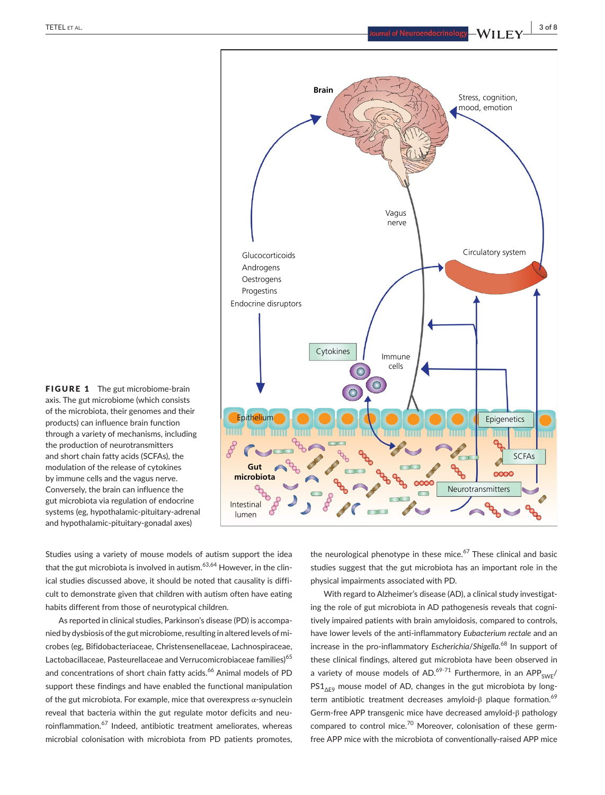

FIGURE 1 The gut microbiome-brain axis. The gut microbiome (which consists of the microbiota, their genomes and their products) can influence brain function through a variety of mechanisms, including the production of neurotransmitters and short chain fatty acids (SCFAs), the modulation of the release of cytokines by immune cells and the vagus nerve. Conversely, the brain can influence the gut microbiota via regulation of endocrine systems (eg, hypothalamic-pituitary-adrenal and hypothalamic-pituitary-gonadal axes)

Studies using a variety of mouse models of autism support the idea that the gut microbiota is involved in autism.<sup>63,64</sup> However, in the clinical studies discussed above, it should be noted that causality is difficult to demonstrate given that children with autism often have eating habits different from those of neurotypical children.

As reported in clinical studies, Parkinson's disease (PD) is accompanied by dysbiosis of the gut microbiome, resulting in altered levels of microbes (eg, Bifidobacteriaceae, Christensenellaceae, Lachnospiraceae, Lactobacillaceae, Pasteurellaceae and Verrucomicrobiaceae families)<sup>65</sup> and concentrations of short chain fatty acids.<sup>66</sup> Animal models of PD support these findings and have enabled the functional manipulation of the gut microbiota. For example, mice that overexpress α-synuclein reveal that bacteria within the gut regulate motor deficits and neuroinflammation.<sup>67</sup> Indeed, antibiotic treatment ameliorates, whereas microbial colonisation with microbiota from PD patients promotes,

the neurological phenotype in these mice. $67$  These clinical and basic studies suggest that the gut microbiota has an important role in the physical impairments associated with PD.

With regard to Alzheimer's disease (AD), a clinical study investigating the role of gut microbiota in AD pathogenesis reveals that cognitively impaired patients with brain amyloidosis, compared to controls, have lower levels of the anti-inflammatory *Eubacterium rectale* and an increase in the pro-inflammatory *Escherichia*/*Shigella*. <sup>68</sup> In support of these clinical findings, altered gut microbiota have been observed in a variety of mouse models of AD.<sup>69-71</sup> Furthermore, in an APP<sub>SWE</sub>/  $PS1_{\text{AFS}}$  mouse model of AD, changes in the gut microbiota by longterm antibiotic treatment decreases amyloid-β plaque formation.<sup>69</sup> Germ-free APP transgenic mice have decreased amyloid-β pathology compared to control mice.<sup>70</sup> Moreover, colonisation of these germfree APP mice with the microbiota of conventionally-raised APP mice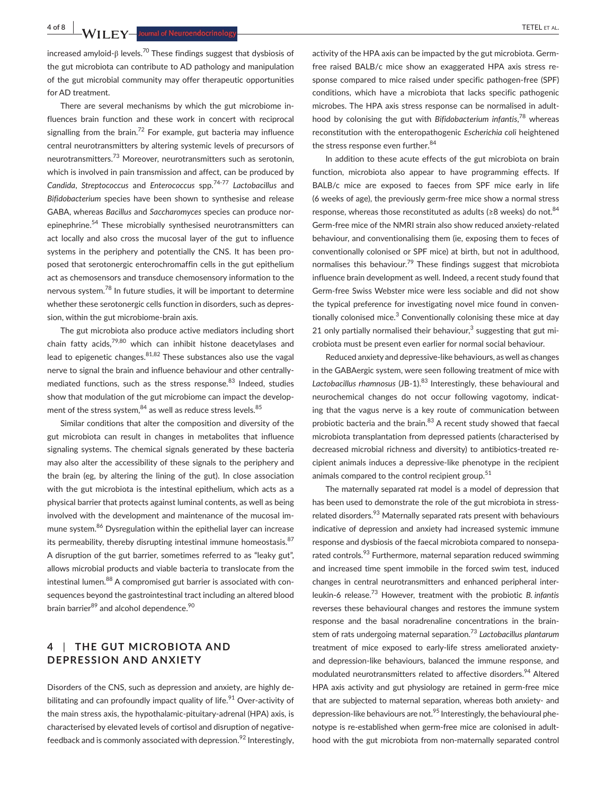**4 of 8 |**  TETEL et al.

increased amyloid-β levels.<sup>70</sup> These findings suggest that dysbiosis of the gut microbiota can contribute to AD pathology and manipulation of the gut microbial community may offer therapeutic opportunities for AD treatment.

There are several mechanisms by which the gut microbiome influences brain function and these work in concert with reciprocal signalling from the brain.<sup>72</sup> For example, gut bacteria may influence central neurotransmitters by altering systemic levels of precursors of neurotransmitters.73 Moreover, neurotransmitters such as serotonin, which is involved in pain transmission and affect, can be produced by *Candida*, *Streptococcus* and *Enterococcus* spp.74-77 *Lactobacillus* and *Bifidobacterium* species have been shown to synthesise and release GABA, whereas *Bacillus* and *Saccharomyces* species can produce norepinephrine.<sup>54</sup> These microbially synthesised neurotransmitters can act locally and also cross the mucosal layer of the gut to influence systems in the periphery and potentially the CNS. It has been proposed that serotonergic enterochromaffin cells in the gut epithelium act as chemosensors and transduce chemosensory information to the nervous system.<sup>78</sup> In future studies, it will be important to determine whether these serotonergic cells function in disorders, such as depression, within the gut microbiome-brain axis.

The gut microbiota also produce active mediators including short chain fatty acids, $79,80$  which can inhibit histone deacetylases and lead to epigenetic changes. $81,82$  These substances also use the vagal nerve to signal the brain and influence behaviour and other centrallymediated functions, such as the stress response.<sup>83</sup> Indeed, studies show that modulation of the gut microbiome can impact the development of the stress system, $84$  as well as reduce stress levels. $85$ 

Similar conditions that alter the composition and diversity of the gut microbiota can result in changes in metabolites that influence signaling systems. The chemical signals generated by these bacteria may also alter the accessibility of these signals to the periphery and the brain (eg, by altering the lining of the gut). In close association with the gut microbiota is the intestinal epithelium, which acts as a physical barrier that protects against luminal contents, as well as being involved with the development and maintenance of the mucosal immune system.<sup>86</sup> Dysregulation within the epithelial layer can increase its permeability, thereby disrupting intestinal immune homeostasis. $87$ A disruption of the gut barrier, sometimes referred to as "leaky gut", allows microbial products and viable bacteria to translocate from the intestinal lumen.<sup>88</sup> A compromised gut barrier is associated with consequences beyond the gastrointestinal tract including an altered blood brain barrier<sup>89</sup> and alcohol dependence.<sup>90</sup>

# **4** | **THE GUT MICROBIOTA AND DEPRESSION AND ANXIETY**

Disorders of the CNS, such as depression and anxiety, are highly debilitating and can profoundly impact quality of life.<sup>91</sup> Over-activity of the main stress axis, the hypothalamic-pituitary-adrenal (HPA) axis, is characterised by elevated levels of cortisol and disruption of negativefeedback and is commonly associated with depression.<sup>92</sup> Interestingly, activity of the HPA axis can be impacted by the gut microbiota. Germfree raised BALB/c mice show an exaggerated HPA axis stress response compared to mice raised under specific pathogen-free (SPF) conditions, which have a microbiota that lacks specific pathogenic microbes. The HPA axis stress response can be normalised in adulthood by colonising the gut with *Bifidobacterium infantis*, 78 whereas reconstitution with the enteropathogenic *Escherichia coli* heightened the stress response even further.<sup>84</sup>

In addition to these acute effects of the gut microbiota on brain function, microbiota also appear to have programming effects. If BALB/c mice are exposed to faeces from SPF mice early in life (6 weeks of age), the previously germ-free mice show a normal stress response, whereas those reconstituted as adults (≥8 weeks) do not.  $84$ Germ-free mice of the NMRI strain also show reduced anxiety-related behaviour, and conventionalising them (ie, exposing them to feces of conventionally colonised or SPF mice) at birth, but not in adulthood, normalises this behaviour.<sup>79</sup> These findings suggest that microbiota influence brain development as well. Indeed, a recent study found that Germ-free Swiss Webster mice were less sociable and did not show the typical preference for investigating novel mice found in conventionally colonised mice.<sup>3</sup> Conventionally colonising these mice at day 21 only partially normalised their behaviour, $3$  suggesting that gut microbiota must be present even earlier for normal social behaviour.

Reduced anxiety and depressive-like behaviours, as well as changes in the GABAergic system, were seen following treatment of mice with Lactobacillus rhamnosus (JB-1).<sup>83</sup> Interestingly, these behavioural and neurochemical changes do not occur following vagotomy, indicating that the vagus nerve is a key route of communication between probiotic bacteria and the brain.<sup>83</sup> A recent study showed that faecal microbiota transplantation from depressed patients (characterised by decreased microbial richness and diversity) to antibiotics-treated recipient animals induces a depressive-like phenotype in the recipient animals compared to the control recipient group.<sup>51</sup>

The maternally separated rat model is a model of depression that has been used to demonstrate the role of the gut microbiota in stressrelated disorders.<sup>93</sup> Maternally separated rats present with behaviours indicative of depression and anxiety had increased systemic immune response and dysbiosis of the faecal microbiota compared to nonseparated controls.<sup>93</sup> Furthermore, maternal separation reduced swimming and increased time spent immobile in the forced swim test, induced changes in central neurotransmitters and enhanced peripheral interleukin-6 release.73 However, treatment with the probiotic *B. infantis* reverses these behavioural changes and restores the immune system response and the basal noradrenaline concentrations in the brainstem of rats undergoing maternal separation.73 *Lactobacillus plantarum* treatment of mice exposed to early-life stress ameliorated anxietyand depression-like behaviours, balanced the immune response, and modulated neurotransmitters related to affective disorders.<sup>94</sup> Altered HPA axis activity and gut physiology are retained in germ-free mice that are subjected to maternal separation, whereas both anxiety- and depression-like behaviours are not.<sup>95</sup> Interestingly, the behavioural phenotype is re-established when germ-free mice are colonised in adulthood with the gut microbiota from non-maternally separated control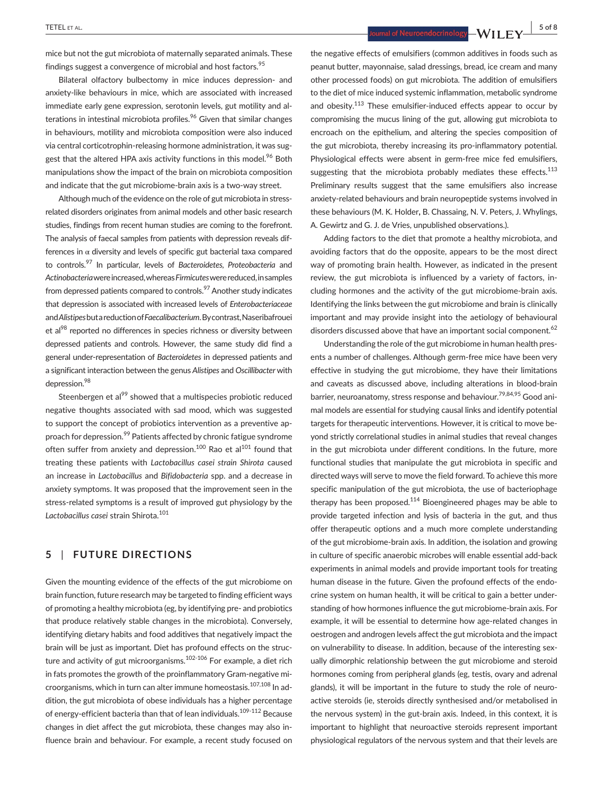**TETEL** ET AL. **1999 1999 1999 1999 1999 1999 1999 1999 1999 1999 1999 1999 1999 1999 1999 1999 1999 1999 1999 1999 1999 1999 1999 1999 1999 1999 1999 1999 1999 19** 

mice but not the gut microbiota of maternally separated animals. These findings suggest a convergence of microbial and host factors.<sup>95</sup>

Bilateral olfactory bulbectomy in mice induces depression- and anxiety-like behaviours in mice, which are associated with increased immediate early gene expression, serotonin levels, gut motility and alterations in intestinal microbiota profiles.<sup>96</sup> Given that similar changes in behaviours, motility and microbiota composition were also induced via central corticotrophin-releasing hormone administration, it was suggest that the altered HPA axis activity functions in this model.<sup>96</sup> Both manipulations show the impact of the brain on microbiota composition and indicate that the gut microbiome-brain axis is a two-way street.

Although much of the evidence on the role of gut microbiota in stressrelated disorders originates from animal models and other basic research studies, findings from recent human studies are coming to the forefront. The analysis of faecal samples from patients with depression reveals differences in  $\alpha$  diversity and levels of specific gut bacterial taxa compared to controls.97 In particular, levels of *Bacteroidetes, Proteobacteria* and *Actinobacteria* were increased, whereas *Firmicutes* were reduced, in samples from depressed patients compared to controls.<sup>97</sup> Another study indicates that depression is associated with increased levels of *Enterobacteriaceae* and *Alistipes* but a reduction of *Faecalibacterium*. By contrast, Naseribafrouei et al<sup>98</sup> reported no differences in species richness or diversity between depressed patients and controls. However, the same study did find a general under-representation of *Bacteroidetes* in depressed patients and a significant interaction between the genus *Alistipes* and *Oscillibacter* with depression.<sup>98</sup>

Steenbergen et al<sup>99</sup> showed that a multispecies probiotic reduced negative thoughts associated with sad mood, which was suggested to support the concept of probiotics intervention as a preventive approach for depression.<sup>99</sup> Patients affected by chronic fatigue syndrome often suffer from anxiety and depression.<sup>100</sup> Rao et al<sup>101</sup> found that treating these patients with *Lactobacillus casei strain Shirota* caused an increase in *Lactobacillus* and *Bifidobacteria* spp. and a decrease in anxiety symptoms. It was proposed that the improvement seen in the stress-related symptoms is a result of improved gut physiology by the *Lactobacillus casei* strain Shirota.<sup>101</sup>

## **5** | **FUTURE DIRECTIONS**

Given the mounting evidence of the effects of the gut microbiome on brain function, future research may be targeted to finding efficient ways of promoting a healthy microbiota (eg, by identifying pre- and probiotics that produce relatively stable changes in the microbiota). Conversely, identifying dietary habits and food additives that negatively impact the brain will be just as important. Diet has profound effects on the structure and activity of gut microorganisms.<sup>102-106</sup> For example, a diet rich in fats promotes the growth of the proinflammatory Gram-negative microorganisms, which in turn can alter immune homeostasis.<sup>107,108</sup> In addition, the gut microbiota of obese individuals has a higher percentage of energy-efficient bacteria than that of lean individuals.<sup>109-112</sup> Because changes in diet affect the gut microbiota, these changes may also influence brain and behaviour. For example, a recent study focused on the negative effects of emulsifiers (common additives in foods such as peanut butter, mayonnaise, salad dressings, bread, ice cream and many other processed foods) on gut microbiota. The addition of emulsifiers to the diet of mice induced systemic inflammation, metabolic syndrome and obesity.<sup>113</sup> These emulsifier-induced effects appear to occur by compromising the mucus lining of the gut, allowing gut microbiota to encroach on the epithelium, and altering the species composition of the gut microbiota, thereby increasing its pro-inflammatory potential. Physiological effects were absent in germ-free mice fed emulsifiers, suggesting that the microbiota probably mediates these effects.<sup>113</sup> Preliminary results suggest that the same emulsifiers also increase anxiety-related behaviours and brain neuropeptide systems involved in these behaviours (M. K. Holder**,** B. Chassaing, N. V. Peters, J. Whylings, A. Gewirtz and G. J. de Vries, unpublished observations.).

Adding factors to the diet that promote a healthy microbiota, and avoiding factors that do the opposite, appears to be the most direct way of promoting brain health. However, as indicated in the present review, the gut microbiota is influenced by a variety of factors, including hormones and the activity of the gut microbiome-brain axis. Identifying the links between the gut microbiome and brain is clinically important and may provide insight into the aetiology of behavioural disorders discussed above that have an important social component.<sup>62</sup>

Understanding the role of the gut microbiome in human health presents a number of challenges. Although germ-free mice have been very effective in studying the gut microbiome, they have their limitations and caveats as discussed above, including alterations in blood-brain barrier, neuroanatomy, stress response and behaviour.<sup>79,84,95</sup> Good animal models are essential for studying causal links and identify potential targets for therapeutic interventions. However, it is critical to move beyond strictly correlational studies in animal studies that reveal changes in the gut microbiota under different conditions. In the future, more functional studies that manipulate the gut microbiota in specific and directed ways will serve to move the field forward. To achieve this more specific manipulation of the gut microbiota, the use of bacteriophage therapy has been proposed. $114$  Bioengineered phages may be able to provide targeted infection and lysis of bacteria in the gut, and thus offer therapeutic options and a much more complete understanding of the gut microbiome-brain axis. In addition, the isolation and growing in culture of specific anaerobic microbes will enable essential add-back experiments in animal models and provide important tools for treating human disease in the future. Given the profound effects of the endocrine system on human health, it will be critical to gain a better understanding of how hormones influence the gut microbiome-brain axis. For example, it will be essential to determine how age-related changes in oestrogen and androgen levels affect the gut microbiota and the impact on vulnerability to disease. In addition, because of the interesting sexually dimorphic relationship between the gut microbiome and steroid hormones coming from peripheral glands (eg, testis, ovary and adrenal glands), it will be important in the future to study the role of neuroactive steroids (ie, steroids directly synthesised and/or metabolised in the nervous system) in the gut-brain axis. Indeed, in this context, it is important to highlight that neuroactive steroids represent important physiological regulators of the nervous system and that their levels are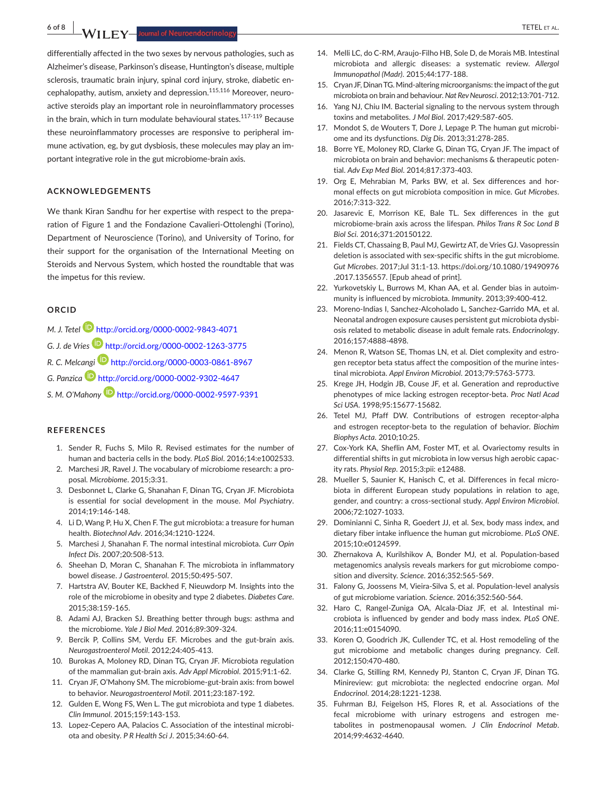**6 of 8 |**  TETEL et al.

differentially affected in the two sexes by nervous pathologies, such as Alzheimer's disease, Parkinson's disease, Huntington's disease, multiple sclerosis, traumatic brain injury, spinal cord injury, stroke, diabetic encephalopathy, autism, anxiety and depression.<sup>115,116</sup> Moreover, neuroactive steroids play an important role in neuroinflammatory processes in the brain, which in turn modulate behavioural states.<sup>117-119</sup> Because these neuroinflammatory processes are responsive to peripheral immune activation, eg, by gut dysbiosis, these molecules may play an important integrative role in the gut microbiome-brain axis.

### **ACKNOWLEDGEMENTS**

We thank Kiran Sandhu for her expertise with respect to the preparation of Figure 1 and the Fondazione Cavalieri-Ottolenghi (Torino), Department of Neuroscience (Torino), and University of Torino, for their support for the organisation of the International Meeting on Steroids and Nervous System, which hosted the roundtable that was the impetus for this review.

#### **ORCID**

- *M. J. Tetel* <http://orcid.org/0000-0002-9843-4071> *G. J. de Vries* <http://orcid.org/0000-0002-1263-3775> *R. C. Melcangi* <http://orcid.org/0000-0003-0861-8967>
- 

*G. Panzica* <http://orcid.org/0000-0002-9302-4647>

*S. M. O'Mahony* <http://orcid.org/0000-0002-9597-9391>

#### **REFERENCES**

- 1. Sender R, Fuchs S, Milo R. Revised estimates for the number of human and bacteria cells in the body. *PLoS Biol*. 2016;14:e1002533.
- 2. Marchesi JR, Ravel J. The vocabulary of microbiome research: a proposal. *Microbiome*. 2015;3:31.
- 3. Desbonnet L, Clarke G, Shanahan F, Dinan TG, Cryan JF. Microbiota is essential for social development in the mouse. *Mol Psychiatry*. 2014;19:146‐148.
- 4. Li D, Wang P, Hu X, Chen F. The gut microbiota: a treasure for human health. *Biotechnol Adv*. 2016;34:1210‐1224.
- 5. Marchesi J, Shanahan F. The normal intestinal microbiota. *Curr Opin Infect Dis*. 2007;20:508‐513.
- 6. Sheehan D, Moran C, Shanahan F. The microbiota in inflammatory bowel disease. *J Gastroenterol*. 2015;50:495‐507.
- 7. Hartstra AV, Bouter KE, Backhed F, Nieuwdorp M. Insights into the role of the microbiome in obesity and type 2 diabetes. *Diabetes Care*. 2015;38:159‐165.
- 8. Adami AJ, Bracken SJ. Breathing better through bugs: asthma and the microbiome. *Yale J Biol Med*. 2016;89:309‐324.
- 9. Bercik P, Collins SM, Verdu EF. Microbes and the gut-brain axis. *Neurogastroenterol Motil*. 2012;24:405‐413.
- 10. Burokas A, Moloney RD, Dinan TG, Cryan JF. Microbiota regulation of the mammalian gut-brain axis. *Adv Appl Microbiol*. 2015;91:1‐62.
- 11. Cryan JF, O'Mahony SM. The microbiome-gut-brain axis: from bowel to behavior. *Neurogastroenterol Motil*. 2011;23:187‐192.
- 12. Gulden E, Wong FS, Wen L. The gut microbiota and type 1 diabetes. *Clin Immunol*. 2015;159:143‐153.
- 13. Lopez-Cepero AA, Palacios C. Association of the intestinal microbiota and obesity. *P R Health Sci J*. 2015;34:60‐64.
- 14. Melli LC, do C-RM, Araujo-Filho HB, Sole D, de Morais MB, Intestinal microbiota and allergic diseases: a systematic review. *Allergol Immunopathol (Madr)*. 2015;44:177‐188.
- 15. Cryan JF, Dinan TG, Mind-altering microorganisms: the impact of the gut microbiota on brain and behaviour. *Nat Rev Neurosci*. 2012;13:701‐712.
- 16. Yang NJ, Chiu IM. Bacterial signaling to the nervous system through toxins and metabolites. *J Mol Biol*. 2017;429:587‐605.
- 17. Mondot S, de Wouters T, Dore J, Lepage P, The human gut microbiome and its dysfunctions. *Dig Dis*. 2013;31:278‐285.
- 18. Borre YE, Moloney RD, Clarke G, Dinan TG, Cryan JF, The impact of microbiota on brain and behavior: mechanisms & therapeutic potential. *Adv Exp Med Biol*. 2014;817:373‐403.
- 19. Org E, Mehrabian M, Parks BW, et al. Sex differences and hormonal effects on gut microbiota composition in mice. *Gut Microbes*. 2016;7:313‐322.
- 20. Jasarevic E, Morrison KE, Bale TL. Sex differences in the gut microbiome-brain axis across the lifespan. *Philos Trans R Soc Lond B Biol Sci*. 2016;371:20150122.
- 21. Fields CT, Chassaing B, Paul MJ, Gewirtz AT, de Vries GJ. Vasopressin deletion is associated with sex-specific shifts in the gut microbiome. *Gut Microbes*. 2017;Jul 31:1-13. [https://doi.org/10.1080/19490976](https://doi.org/10.1080/19490976.2017.1356557) [.2017.1356557.](https://doi.org/10.1080/19490976.2017.1356557) [Epub ahead of print].
- 22. Yurkovetskiy L, Burrows M, Khan AA, et al. Gender bias in autoimmunity is influenced by microbiota. *Immunity*. 2013;39:400‐412.
- 23. Moreno-Indias I, Sanchez-Alcoholado L, Sanchez-Garrido MA, et al. Neonatal androgen exposure causes persistent gut microbiota dysbiosis related to metabolic disease in adult female rats. *Endocrinology*. 2016;157:4888‐4898.
- 24. Menon R, Watson SE, Thomas LN, et al. Diet complexity and estrogen receptor beta status affect the composition of the murine intestinal microbiota. *Appl Environ Microbiol*. 2013;79:5763‐5773.
- 25. Krege JH, Hodgin JB, Couse JF, et al. Generation and reproductive phenotypes of mice lacking estrogen receptor-beta. *Proc Natl Acad Sci USA*. 1998;95:15677‐15682.
- 26. Tetel MJ, Pfaff DW. Contributions of estrogen receptor-alpha and estrogen receptor-beta to the regulation of behavior. *Biochim Biophys Acta*. 2010;10:25.
- 27. Cox-York KA, Sheflin AM, Foster MT, et al. Ovariectomy results in differential shifts in gut microbiota in low versus high aerobic capacity rats. *Physiol Rep*. 2015;3:pii: e12488.
- 28. Mueller S, Saunier K, Hanisch C, et al. Differences in fecal microbiota in different European study populations in relation to age, gender, and country: a cross-sectional study. *Appl Environ Microbiol*. 2006;72:1027‐1033.
- 29. Dominianni C, Sinha R, Goedert JJ, et al. Sex, body mass index, and dietary fiber intake influence the human gut microbiome. *PLoS ONE*. 2015;10:e0124599.
- 30. Zhernakova A, Kurilshikov A, Bonder MJ, et al. Population-based metagenomics analysis reveals markers for gut microbiome composition and diversity. *Science*. 2016;352:565‐569.
- 31. Falony G, Joossens M, Vieira-Silva S, et al. Population-level analysis of gut microbiome variation. *Science*. 2016;352:560‐564.
- 32. Haro C, Rangel-Zuniga OA, Alcala-Diaz JF, et al. Intestinal microbiota is influenced by gender and body mass index. *PLoS ONE*. 2016;11:e0154090.
- 33. Koren O, Goodrich JK, Cullender TC, et al. Host remodeling of the gut microbiome and metabolic changes during pregnancy. *Cell*. 2012;150:470‐480.
- 34. Clarke G, Stilling RM, Kennedy PJ, Stanton C, Cryan JF, Dinan TG. Minireview: gut microbiota: the neglected endocrine organ. *Mol Endocrinol*. 2014;28:1221‐1238.
- 35. Fuhrman BJ, Feigelson HS, Flores R, et al. Associations of the fecal microbiome with urinary estrogens and estrogen metabolites in postmenopausal women. *J Clin Endocrinol Metab*. 2014;99:4632‐4640.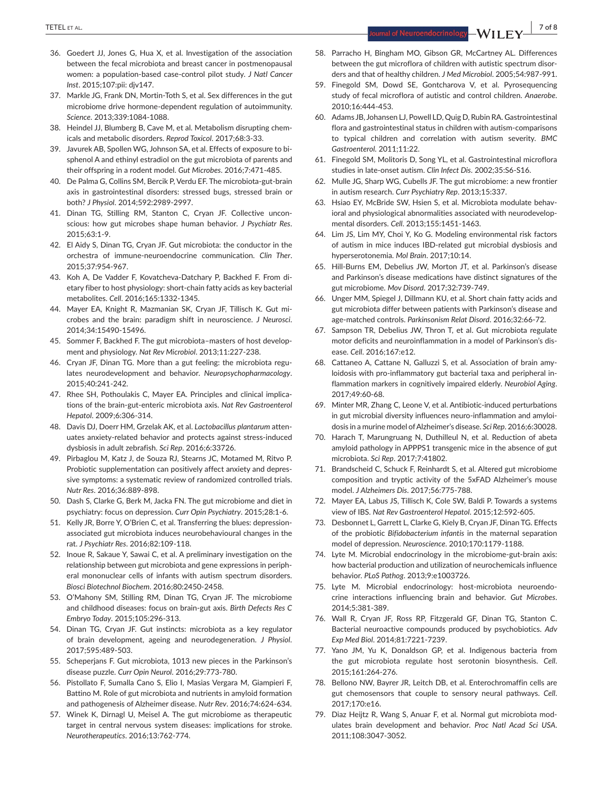- 36. Goedert JJ, Jones G, Hua X, et al. Investigation of the association between the fecal microbiota and breast cancer in postmenopausal women: a population-based case-control pilot study. *J Natl Cancer Inst*. 2015;107:pii: djv147.
- 37. Markle JG, Frank DN, Mortin-Toth S, et al. Sex differences in the gut microbiome drive hormone-dependent regulation of autoimmunity. *Science*. 2013;339:1084‐1088.
- 38. Heindel JJ, Blumberg B, Cave M, et al. Metabolism disrupting chemicals and metabolic disorders. *Reprod Toxicol*. 2017;68:3‐33.
- 39. Javurek AB, Spollen WG, Johnson SA, et al. Effects of exposure to bisphenol A and ethinyl estradiol on the gut microbiota of parents and their offspring in a rodent model. *Gut Microbes*. 2016;7:471‐485.
- 40. De Palma G, Collins SM, Bercik P, Verdu EF. The microbiota-gut-brain axis in gastrointestinal disorders: stressed bugs, stressed brain or both? *J Physiol*. 2014;592:2989‐2997.
- 41. Dinan TG, Stilling RM, Stanton C, Cryan JF. Collective unconscious: how gut microbes shape human behavior. *J Psychiatr Res*. 2015;63:1‐9.
- 42. El Aidy S, Dinan TG, Cryan JF. Gut microbiota: the conductor in the orchestra of immune-neuroendocrine communication. *Clin Ther*. 2015;37:954‐967.
- 43. Koh A, De Vadder F, Kovatcheva-Datchary P, Backhed F. From dietary fiber to host physiology: short-chain fatty acids as key bacterial metabolites. *Cell*. 2016;165:1332‐1345.
- 44. Mayer EA, Knight R, Mazmanian SK, Cryan JF, Tillisch K. Gut microbes and the brain: paradigm shift in neuroscience. *J Neurosci*. 2014;34:15490‐15496.
- 45. Sommer F, Backhed F. The gut microbiota-masters of host development and physiology. *Nat Rev Microbiol*. 2013;11:227‐238.
- 46. Cryan JF, Dinan TG. More than a gut feeling: the microbiota regulates neurodevelopment and behavior. *Neuropsychopharmacology*. 2015;40:241‐242.
- 47. Rhee SH, Pothoulakis C, Mayer EA. Principles and clinical implications of the brain-gut-enteric microbiota axis. *Nat Rev Gastroenterol Hepatol*. 2009;6:306‐314.
- 48. Davis DJ, Doerr HM, Grzelak AK, et al. *Lactobacillus plantarum* attenuates anxiety-related behavior and protects against stress-induced dysbiosis in adult zebrafish. *Sci Rep*. 2016;6:33726.
- 49. Pirbaglou M, Katz J, de Souza RJ, Stearns JC, Motamed M, Ritvo P. Probiotic supplementation can positively affect anxiety and depressive symptoms: a systematic review of randomized controlled trials. *Nutr Res*. 2016;36:889‐898.
- 50. Dash S, Clarke G, Berk M, Jacka FN. The gut microbiome and diet in psychiatry: focus on depression. *Curr Opin Psychiatry*. 2015;28:1‐6.
- 51. Kelly JR, Borre Y, O'Brien C, et al. Transferring the blues: depressionassociated gut microbiota induces neurobehavioural changes in the rat. *J Psychiatr Res*. 2016;82:109‐118.
- 52. Inoue R, Sakaue Y, Sawai C, et al. A preliminary investigation on the relationship between gut microbiota and gene expressions in peripheral mononuclear cells of infants with autism spectrum disorders. *Biosci Biotechnol Biochem*. 2016;80:2450‐2458.
- 53. O'Mahony SM, Stilling RM, Dinan TG, Cryan JF. The microbiome and childhood diseases: focus on brain-gut axis. *Birth Defects Res C Embryo Today*. 2015;105:296‐313.
- 54. Dinan TG, Cryan JF. Gut instincts: microbiota as a key regulator of brain development, ageing and neurodegeneration. *J Physiol*. 2017;595:489‐503.
- 55. Scheperjans F. Gut microbiota, 1013 new pieces in the Parkinson's disease puzzle. *Curr Opin Neurol*. 2016;29:773‐780.
- 56. Pistollato F, Sumalla Cano S, Elio I, Masias Vergara M, Giampieri F, Battino M. Role of gut microbiota and nutrients in amyloid formation and pathogenesis of Alzheimer disease. *Nutr Rev*. 2016;74:624‐634.
- 57. Winek K, Dirnagl U, Meisel A. The gut microbiome as therapeutic target in central nervous system diseases: implications for stroke. *Neurotherapeutics*. 2016;13:762‐774.
- 58. Parracho H, Bingham MO, Gibson GR, McCartney AL. Differences between the gut microflora of children with autistic spectrum disorders and that of healthy children. *J Med Microbiol*. 2005;54:987‐991.
- 59. Finegold SM, Dowd SE, Gontcharova V, et al. Pyrosequencing study of fecal microflora of autistic and control children. *Anaerobe*. 2010;16:444‐453.
- 60. Adams JB, Johansen LJ, Powell LD, Quig D, Rubin RA. Gastrointestinal flora and gastrointestinal status in children with autism-comparisons to typical children and correlation with autism severity. *BMC Gastroenterol*. 2011;11:22.
- 61. Finegold SM, Molitoris D, Song YL, et al. Gastrointestinal microflora studies in late-onset autism. *Clin Infect Dis*. 2002;35:S6‐S16.
- 62. Mulle JG, Sharp WG, Cubells JF. The gut microbiome: a new frontier in autism research. *Curr Psychiatry Rep*. 2013;15:337.
- 63. Hsiao EY, McBride SW, Hsien S, et al. Microbiota modulate behavioral and physiological abnormalities associated with neurodevelopmental disorders. *Cell*. 2013;155:1451‐1463.
- 64. Lim JS, Lim MY, Choi Y, Ko G. Modeling environmental risk factors of autism in mice induces IBD-related gut microbial dysbiosis and hyperserotonemia. *Mol Brain*. 2017;10:14.
- 65. Hill-Burns EM, Debelius JW, Morton JT, et al. Parkinson's disease and Parkinson's disease medications have distinct signatures of the gut microbiome. *Mov Disord*. 2017;32:739‐749.
- 66. Unger MM, Spiegel J, Dillmann KU, et al. Short chain fatty acids and gut microbiota differ between patients with Parkinson's disease and age-matched controls. *Parkinsonism Relat Disord*. 2016;32:66‐72.
- 67. Sampson TR, Debelius JW, Thron T, et al. Gut microbiota regulate motor deficits and neuroinflammation in a model of Parkinson's disease. *Cell*. 2016;167:e12.
- 68. Cattaneo A, Cattane N, Galluzzi S, et al. Association of brain amyloidosis with pro-inflammatory gut bacterial taxa and peripheral inflammation markers in cognitively impaired elderly. *Neurobiol Aging*. 2017;49:60‐68.
- 69. Minter MR, Zhang C, Leone V, et al. Antibiotic-induced perturbations in gut microbial diversity influences neuro-inflammation and amyloidosis in a murine model ofAlzheimer's disease. *Sci Rep*. 2016;6:30028.
- 70. Harach T, Marungruang N, Duthilleul N, et al. Reduction of abeta amyloid pathology in APPPS1 transgenic mice in the absence of gut microbiota. *Sci Rep*. 2017;7:41802.
- 71. Brandscheid C, Schuck F, Reinhardt S, et al. Altered gut microbiome composition and tryptic activity of the 5xFAD Alzheimer's mouse model. *J Alzheimers Dis*. 2017;56:775‐788.
- 72. Mayer EA, Labus JS, Tillisch K, Cole SW, Baldi P, Towards a systems view of IBS. *Nat Rev Gastroenterol Hepatol*. 2015;12:592‐605.
- 73. Desbonnet L, Garrett L, Clarke G, Kiely B, Cryan JF, Dinan TG. Effects of the probiotic *Bifidobacterium infantis* in the maternal separation model of depression. *Neuroscience*. 2010;170:1179‐1188.
- 74. Lyte M. Microbial endocrinology in the microbiome-gut-brain axis: how bacterial production and utilization of neurochemicals influence behavior. *PLoS Pathog*. 2013;9:e1003726.
- 75. Lyte M. Microbial endocrinology: host-microbiota neuroendocrine interactions influencing brain and behavior. *Gut Microbes*. 2014;5:381‐389.
- 76. Wall R, Cryan JF, Ross RP, Fitzgerald GF, Dinan TG, Stanton C. Bacterial neuroactive compounds produced by psychobiotics. *Adv Exp Med Biol*. 2014;81:7221‐7239.
- 77. Yano JM, Yu K, Donaldson GP, et al. Indigenous bacteria from the gut microbiota regulate host serotonin biosynthesis. *Cell*. 2015;161:264‐276.
- 78. Bellono NW, Bayrer JR, Leitch DB, et al. Enterochromaffin cells are gut chemosensors that couple to sensory neural pathways. *Cell*. 2017;170:e16.
- 79. Diaz Heijtz R, Wang S, Anuar F, et al. Normal gut microbiota modulates brain development and behavior. *Proc Natl Acad Sci USA*. 2011;108:3047‐3052.